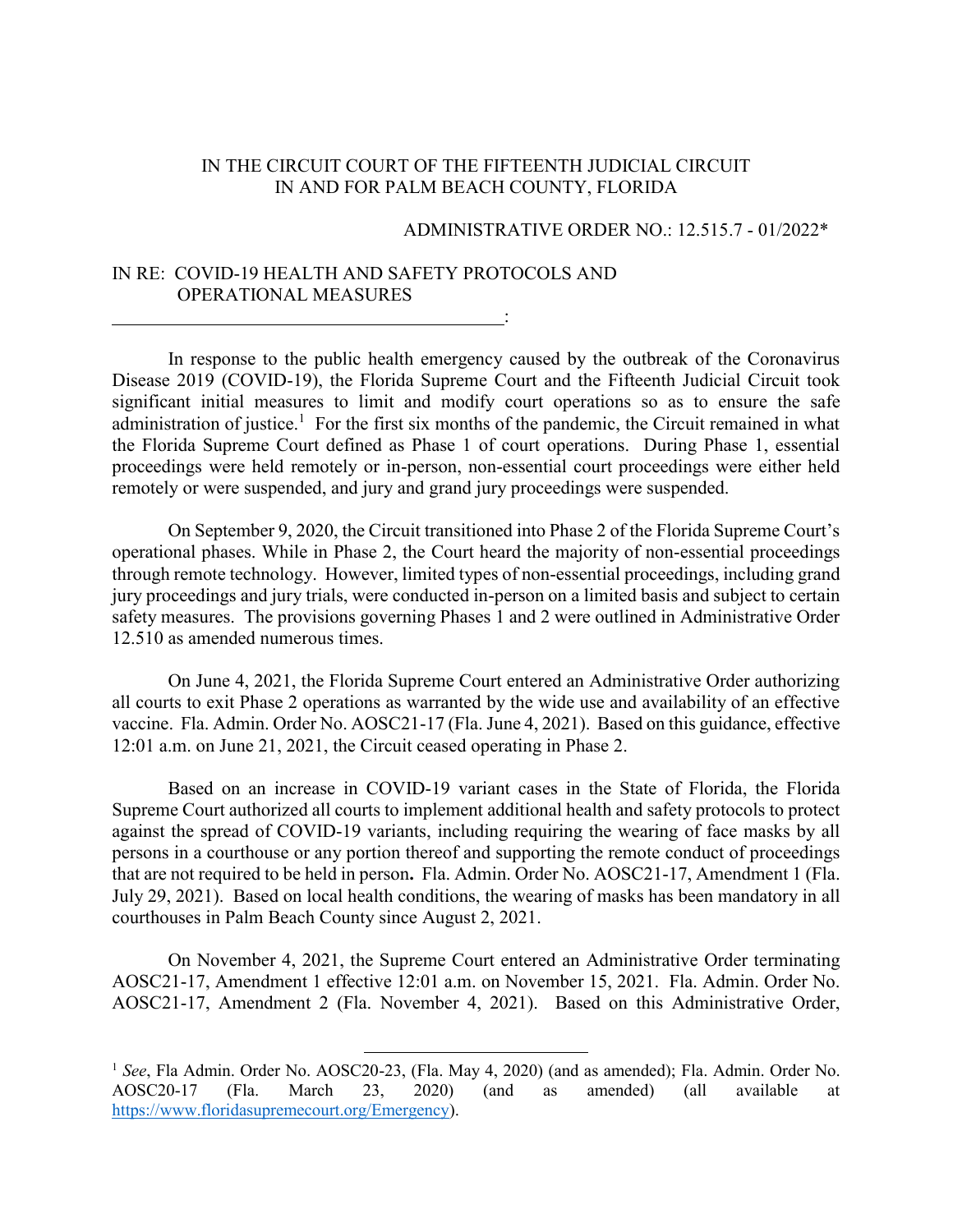#### IN THE CIRCUIT COURT OF THE FIFTEENTH JUDICIAL CIRCUIT IN AND FOR PALM BEACH COUNTY, FLORIDA

#### ADMINISTRATIVE ORDER NO.: 12.515.7 - 01/2022\*

### IN RE: COVID-19 HEALTH AND SAFETY PROTOCOLS AND OPERATIONAL MEASURES

**Service State State State State** 

In response to the public health emergency caused by the outbreak of the Coronavirus Disease 2019 (COVID-19), the Florida Supreme Court and the Fifteenth Judicial Circuit took significant initial measures to limit and modify court operations so as to ensure the safe administration of justice.<sup>1</sup> For the first six months of the pandemic, the Circuit remained in what the Florida Supreme Court defined as Phase 1 of court operations. During Phase 1, essential proceedings were held remotely or in-person, non-essential court proceedings were either held remotely or were suspended, and jury and grand jury proceedings were suspended.

On September 9, 2020, the Circuit transitioned into Phase 2 of the Florida Supreme Court's operational phases. While in Phase 2, the Court heard the majority of non-essential proceedings through remote technology. However, limited types of non-essential proceedings, including grand jury proceedings and jury trials, were conducted in-person on a limited basis and subject to certain safety measures. The provisions governing Phases 1 and 2 were outlined in Administrative Order 12.510 as amended numerous times.

On June 4, 2021, the Florida Supreme Court entered an Administrative Order authorizing all courts to exit Phase 2 operations as warranted by the wide use and availability of an effective vaccine. Fla. Admin. Order No. AOSC21-17 (Fla. June 4, 2021). Based on this guidance, effective 12:01 a.m. on June 21, 2021, the Circuit ceased operating in Phase 2.

Based on an increase in COVID-19 variant cases in the State of Florida, the Florida Supreme Court authorized all courts to implement additional health and safety protocols to protect against the spread of COVID-19 variants, including requiring the wearing of face masks by all persons in a courthouse or any portion thereof and supporting the remote conduct of proceedings that are not required to be held in person**.** Fla. Admin. Order No. AOSC21-17, Amendment 1 (Fla. July 29, 2021). Based on local health conditions, the wearing of masks has been mandatory in all courthouses in Palm Beach County since August 2, 2021.

On November 4, 2021, the Supreme Court entered an Administrative Order terminating AOSC21-17, Amendment 1 effective 12:01 a.m. on November 15, 2021. Fla. Admin. Order No. AOSC21-17, Amendment 2 (Fla. November 4, 2021). Based on this Administrative Order,

 $\overline{a}$ 

<sup>1</sup> *See*, Fla Admin. Order No. AOSC20-23, (Fla. May 4, 2020) (and as amended); Fla. Admin. Order No. AOSC20-17 (Fla. March 23, 2020) (and as amended) (all available at [https://www.floridasupremecourt.org/Emergency\)](https://www.floridasupremecourt.org/Emergency).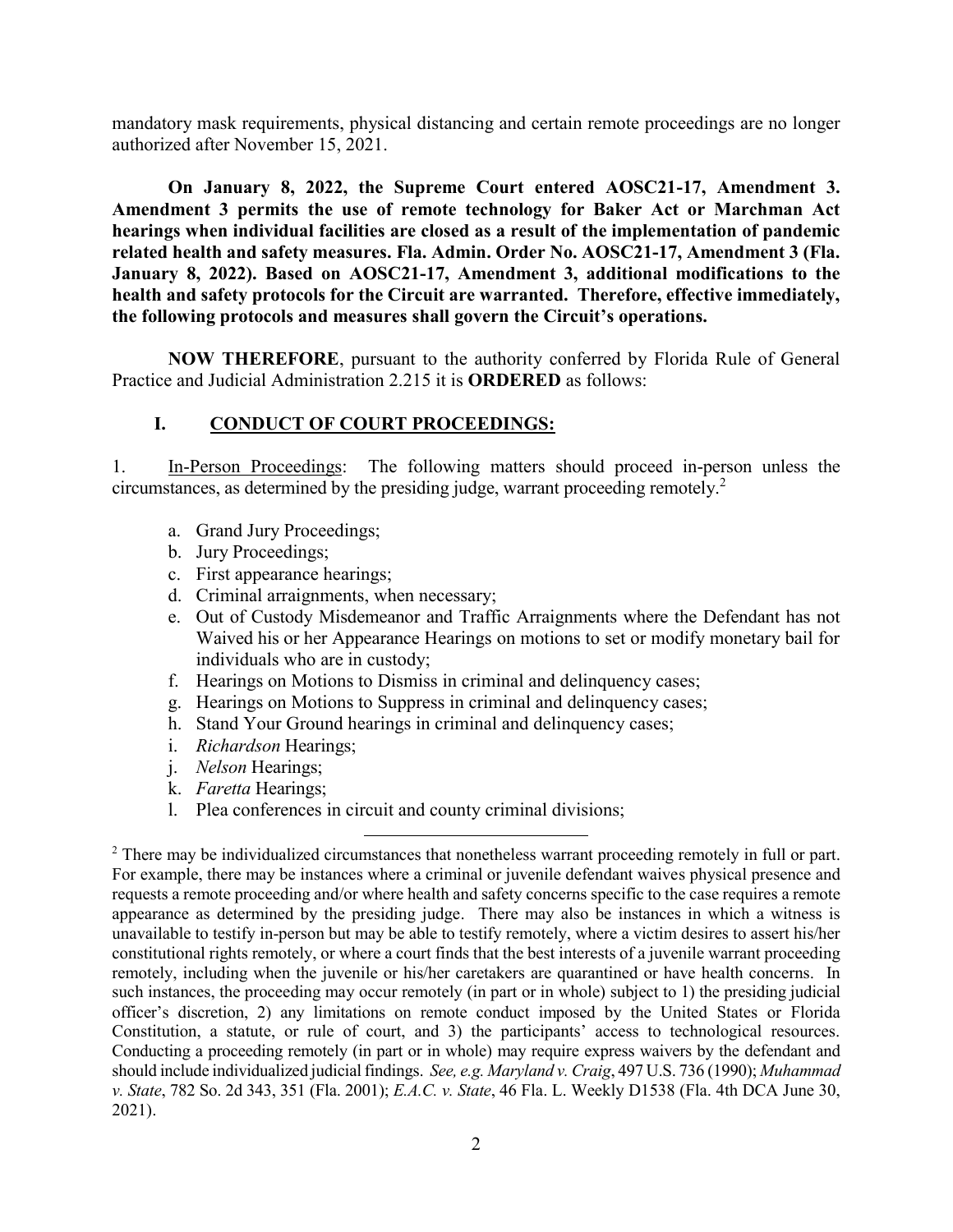mandatory mask requirements, physical distancing and certain remote proceedings are no longer authorized after November 15, 2021.

**On January 8, 2022, the Supreme Court entered AOSC21-17, Amendment 3. Amendment 3 permits the use of remote technology for Baker Act or Marchman Act hearings when individual facilities are closed as a result of the implementation of pandemic related health and safety measures. Fla. Admin. Order No. AOSC21-17, Amendment 3 (Fla. January 8, 2022). Based on AOSC21-17, Amendment 3, additional modifications to the health and safety protocols for the Circuit are warranted. Therefore, effective immediately, the following protocols and measures shall govern the Circuit's operations.** 

**NOW THEREFORE**, pursuant to the authority conferred by Florida Rule of General Practice and Judicial Administration 2.215 it is **ORDERED** as follows:

### **I. CONDUCT OF COURT PROCEEDINGS:**

1. In-Person Proceedings: The following matters should proceed in-person unless the circumstances, as determined by the presiding judge, warrant proceeding remotely. 2

- a. Grand Jury Proceedings;
- b. Jury Proceedings;
- c. First appearance hearings;
- d. Criminal arraignments, when necessary;
- e. Out of Custody Misdemeanor and Traffic Arraignments where the Defendant has not Waived his or her Appearance Hearings on motions to set or modify monetary bail for individuals who are in custody;
- f. Hearings on Motions to Dismiss in criminal and delinquency cases;
- g. Hearings on Motions to Suppress in criminal and delinquency cases;
- h. Stand Your Ground hearings in criminal and delinquency cases;
- i. *Richardson* Hearings;
- j. *Nelson* Hearings;
- k. *Faretta* Hearings;
- l. Plea conferences in circuit and county criminal divisions;

 $\overline{a}$ 

<sup>&</sup>lt;sup>2</sup> There may be individualized circumstances that nonetheless warrant proceeding remotely in full or part. For example, there may be instances where a criminal or juvenile defendant waives physical presence and requests a remote proceeding and/or where health and safety concerns specific to the case requires a remote appearance as determined by the presiding judge. There may also be instances in which a witness is unavailable to testify in-person but may be able to testify remotely, where a victim desires to assert his/her constitutional rights remotely, or where a court finds that the best interests of a juvenile warrant proceeding remotely, including when the juvenile or his/her caretakers are quarantined or have health concerns. In such instances, the proceeding may occur remotely (in part or in whole) subject to 1) the presiding judicial officer's discretion, 2) any limitations on remote conduct imposed by the United States or Florida Constitution, a statute, or rule of court, and 3) the participants' access to technological resources. Conducting a proceeding remotely (in part or in whole) may require express waivers by the defendant and should include individualized judicial findings. *See, e.g. Maryland v. Craig*, 497 U.S. 736 (1990); *Muhammad v. State*, 782 So. 2d 343, 351 (Fla. 2001); *E.A.C. v. State*, 46 Fla. L. Weekly D1538 (Fla. 4th DCA June 30, 2021).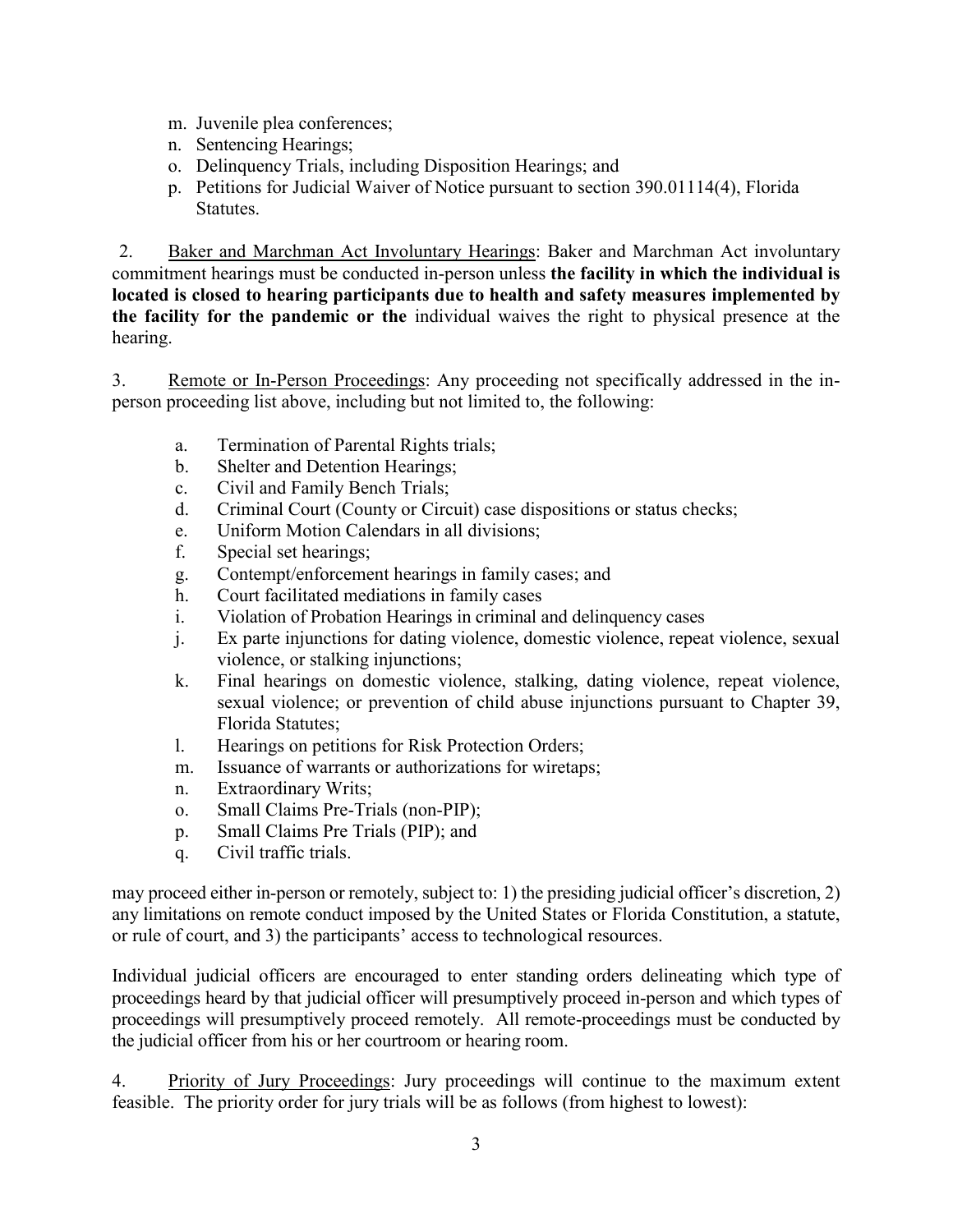- m. Juvenile plea conferences;
- n. Sentencing Hearings;
- o. Delinquency Trials, including Disposition Hearings; and
- p. Petitions for Judicial Waiver of Notice pursuant to section 390.01114(4), Florida Statutes.

2. Baker and Marchman Act Involuntary Hearings: Baker and Marchman Act involuntary commitment hearings must be conducted in-person unless **the facility in which the individual is located is closed to hearing participants due to health and safety measures implemented by the facility for the pandemic or the** individual waives the right to physical presence at the hearing.

3. Remote or In-Person Proceedings: Any proceeding not specifically addressed in the inperson proceeding list above, including but not limited to, the following:

- a. Termination of Parental Rights trials;
- b. Shelter and Detention Hearings;
- c. Civil and Family Bench Trials;
- d. Criminal Court (County or Circuit) case dispositions or status checks;
- e. Uniform Motion Calendars in all divisions;
- f. Special set hearings;
- g. Contempt/enforcement hearings in family cases; and
- h. Court facilitated mediations in family cases
- i. Violation of Probation Hearings in criminal and delinquency cases
- j. Ex parte injunctions for dating violence, domestic violence, repeat violence, sexual violence, or stalking injunctions;
- k. Final hearings on domestic violence, stalking, dating violence, repeat violence, sexual violence; or prevention of child abuse injunctions pursuant to Chapter 39, Florida Statutes;
- l. Hearings on petitions for Risk Protection Orders;
- m. Issuance of warrants or authorizations for wiretaps;
- n. Extraordinary Writs;
- o. Small Claims Pre-Trials (non-PIP);
- p. Small Claims Pre Trials (PIP); and
- q. Civil traffic trials.

may proceed either in-person or remotely, subject to: 1) the presiding judicial officer's discretion, 2) any limitations on remote conduct imposed by the United States or Florida Constitution, a statute, or rule of court, and 3) the participants' access to technological resources.

Individual judicial officers are encouraged to enter standing orders delineating which type of proceedings heard by that judicial officer will presumptively proceed in-person and which types of proceedings will presumptively proceed remotely. All remote-proceedings must be conducted by the judicial officer from his or her courtroom or hearing room.

4. Priority of Jury Proceedings: Jury proceedings will continue to the maximum extent feasible. The priority order for jury trials will be as follows (from highest to lowest):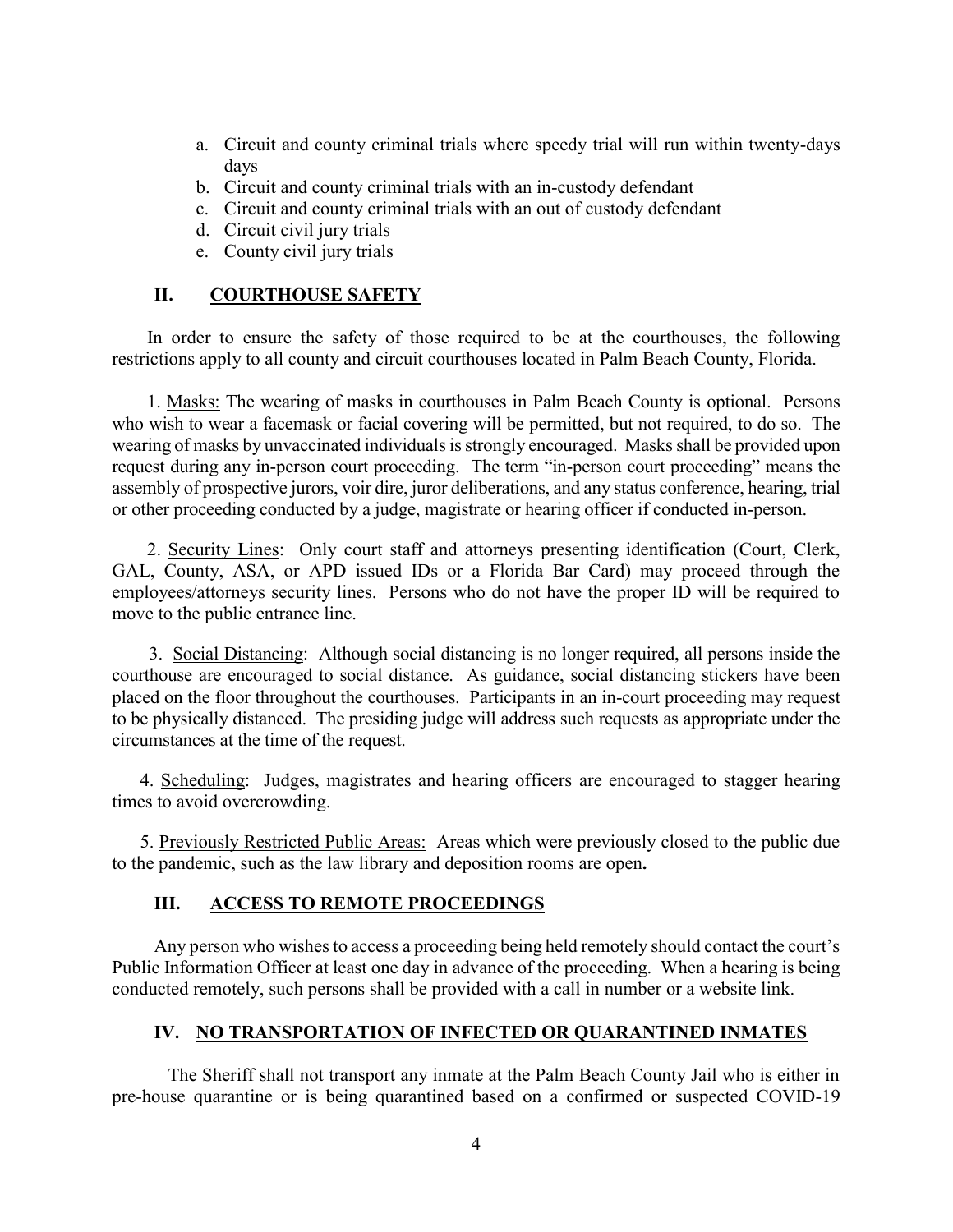- a. Circuit and county criminal trials where speedy trial will run within twenty-days days
- b. Circuit and county criminal trials with an in-custody defendant
- c. Circuit and county criminal trials with an out of custody defendant
- d. Circuit civil jury trials
- e. County civil jury trials

### **II. COURTHOUSE SAFETY**

In order to ensure the safety of those required to be at the courthouses, the following restrictions apply to all county and circuit courthouses located in Palm Beach County, Florida.

1. Masks: The wearing of masks in courthouses in Palm Beach County is optional. Persons who wish to wear a facemask or facial covering will be permitted, but not required, to do so. The wearing of masks by unvaccinated individuals is strongly encouraged. Masks shall be provided upon request during any in-person court proceeding. The term "in-person court proceeding" means the assembly of prospective jurors, voir dire, juror deliberations, and any status conference, hearing, trial or other proceeding conducted by a judge, magistrate or hearing officer if conducted in-person.

2. Security Lines: Only court staff and attorneys presenting identification (Court, Clerk, GAL, County, ASA, or APD issued IDs or a Florida Bar Card) may proceed through the employees/attorneys security lines. Persons who do not have the proper ID will be required to move to the public entrance line.

 3. Social Distancing: Although social distancing is no longer required, all persons inside the courthouse are encouraged to social distance. As guidance, social distancing stickers have been placed on the floor throughout the courthouses. Participants in an in-court proceeding may request to be physically distanced. The presiding judge will address such requests as appropriate under the circumstances at the time of the request.

4. Scheduling: Judges, magistrates and hearing officers are encouraged to stagger hearing times to avoid overcrowding.

5. Previously Restricted Public Areas: Areas which were previously closed to the public due to the pandemic, such as the law library and deposition rooms are open**.**

# **III. ACCESS TO REMOTE PROCEEDINGS**

Any person who wishes to access a proceeding being held remotely should contact the court's Public Information Officer at least one day in advance of the proceeding. When a hearing is being conducted remotely, such persons shall be provided with a call in number or a website link.

# **IV. NO TRANSPORTATION OF INFECTED OR QUARANTINED INMATES**

The Sheriff shall not transport any inmate at the Palm Beach County Jail who is either in pre-house quarantine or is being quarantined based on a confirmed or suspected COVID-19